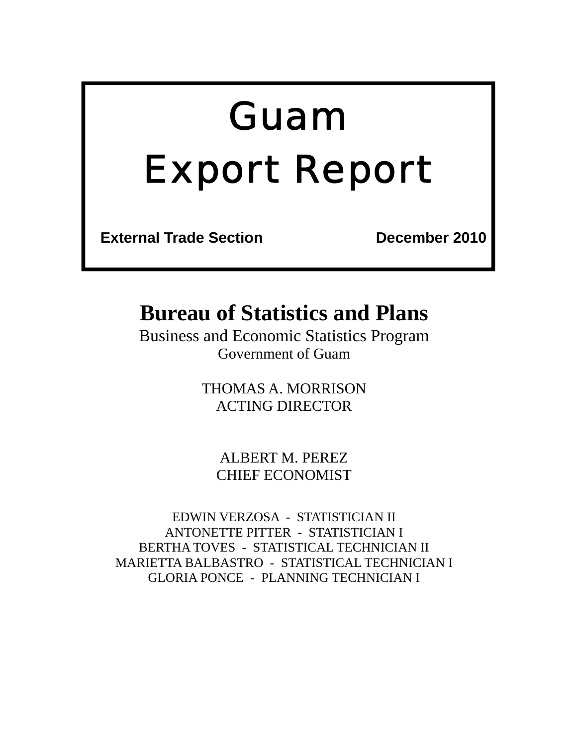# *Guam Export Report*

**External Trade Section December 2010** 

## **Bureau of Statistics and Plans**

Business and Economic Statistics Program Government of Guam

> THOMAS A. MORRISON ACTING DIRECTOR

ALBERT M. PEREZ CHIEF ECONOMIST

EDWIN VERZOSA - STATISTICIAN II ANTONETTE PITTER - STATISTICIAN I BERTHA TOVES - STATISTICAL TECHNICIAN II MARIETTA BALBASTRO - STATISTICAL TECHNICIAN I GLORIA PONCE - PLANNING TECHNICIAN I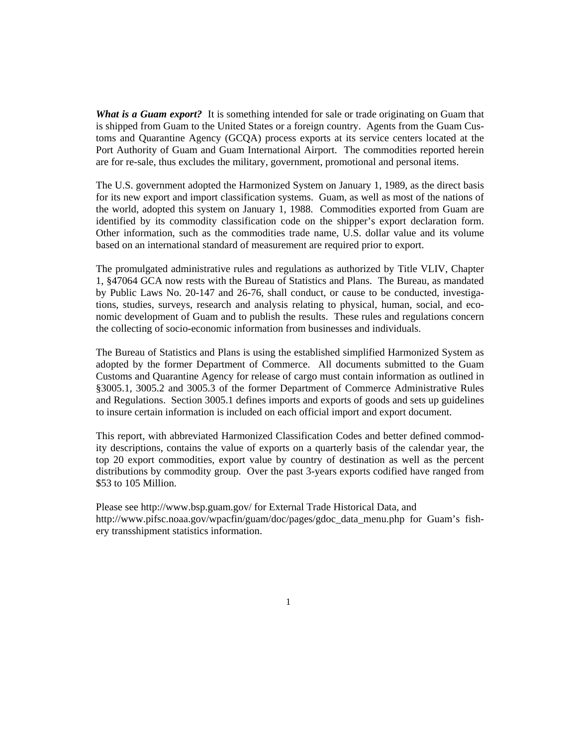*What is a Guam export?* It is something intended for sale or trade originating on Guam that is shipped from Guam to the United States or a foreign country. Agents from the Guam Customs and Quarantine Agency (GCQA) process exports at its service centers located at the Port Authority of Guam and Guam International Airport. The commodities reported herein are for re-sale, thus excludes the military, government, promotional and personal items.

The U.S. government adopted the Harmonized System on January 1, 1989, as the direct basis for its new export and import classification systems. Guam, as well as most of the nations of the world, adopted this system on January 1, 1988. Commodities exported from Guam are identified by its commodity classification code on the shipper's export declaration form. Other information, such as the commodities trade name, U.S. dollar value and its volume based on an international standard of measurement are required prior to export.

The promulgated administrative rules and regulations as authorized by Title VLIV, Chapter 1, §47064 GCA now rests with the Bureau of Statistics and Plans. The Bureau, as mandated by Public Laws No. 20-147 and 26-76, shall conduct, or cause to be conducted, investigations, studies, surveys, research and analysis relating to physical, human, social, and economic development of Guam and to publish the results. These rules and regulations concern the collecting of socio-economic information from businesses and individuals.

The Bureau of Statistics and Plans is using the established simplified Harmonized System as adopted by the former Department of Commerce. All documents submitted to the Guam Customs and Quarantine Agency for release of cargo must contain information as outlined in §3005.1, 3005.2 and 3005.3 of the former Department of Commerce Administrative Rules and Regulations. Section 3005.1 defines imports and exports of goods and sets up guidelines to insure certain information is included on each official import and export document.

This report, with abbreviated Harmonized Classification Codes and better defined commodity descriptions, contains the value of exports on a quarterly basis of the calendar year, the top 20 export commodities, export value by country of destination as well as the percent distributions by commodity group. Over the past 3-years exports codified have ranged from \$53 to 105 Million.

Please see http://www.bsp.guam.gov/ for External Trade Historical Data, and http://www.pifsc.noaa.gov/wpacfin/guam/doc/pages/gdoc\_data\_menu.php for Guam's fishery transshipment statistics information.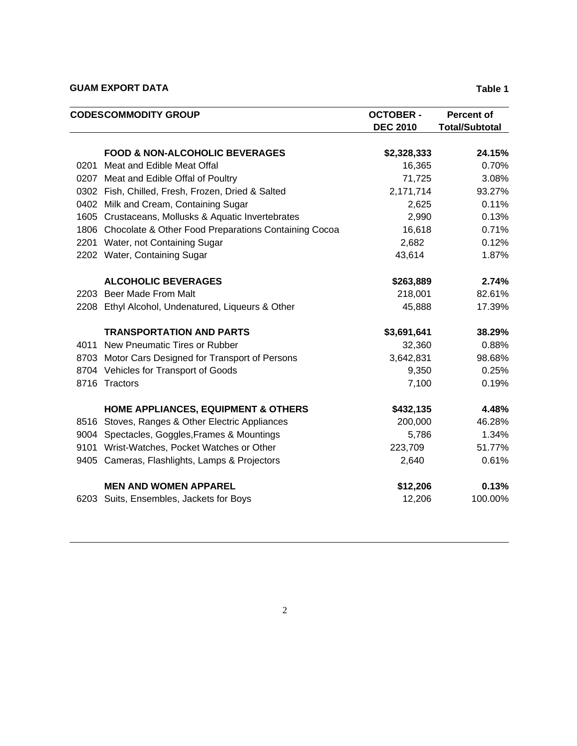#### **GUAM EXPORT DATA** Table 1

|      | <b>CODESCOMMODITY GROUP</b>                               |                 | <b>Percent of</b>     |
|------|-----------------------------------------------------------|-----------------|-----------------------|
|      |                                                           | <b>DEC 2010</b> | <b>Total/Subtotal</b> |
|      | <b>FOOD &amp; NON-ALCOHOLIC BEVERAGES</b>                 | \$2,328,333     | 24.15%                |
| 0201 | Meat and Edible Meat Offal                                | 16,365          | 0.70%                 |
|      | 0207 Meat and Edible Offal of Poultry                     | 71,725          | 3.08%                 |
|      | 0302 Fish, Chilled, Fresh, Frozen, Dried & Salted         | 2,171,714       | 93.27%                |
|      | 0402 Milk and Cream, Containing Sugar                     | 2,625           | 0.11%                 |
|      | 1605 Crustaceans, Mollusks & Aquatic Invertebrates        | 2,990           | 0.13%                 |
|      | 1806 Chocolate & Other Food Preparations Containing Cocoa | 16,618          | 0.71%                 |
|      | 2201 Water, not Containing Sugar                          | 2,682           | 0.12%                 |
|      | 2202 Water, Containing Sugar                              | 43,614          | 1.87%                 |
|      | <b>ALCOHOLIC BEVERAGES</b>                                | \$263,889       | 2.74%                 |
|      | 2203 Beer Made From Malt                                  | 218,001         | 82.61%                |
|      | 2208 Ethyl Alcohol, Undenatured, Liqueurs & Other         | 45,888          | 17.39%                |
|      | <b>TRANSPORTATION AND PARTS</b>                           | \$3,691,641     | 38.29%                |
|      | 4011 New Pneumatic Tires or Rubber                        | 32,360          | 0.88%                 |
|      | 8703 Motor Cars Designed for Transport of Persons         | 3,642,831       | 98.68%                |
|      | 8704 Vehicles for Transport of Goods                      | 9,350           | 0.25%                 |
|      | 8716 Tractors                                             | 7,100           | 0.19%                 |
|      | <b>HOME APPLIANCES, EQUIPMENT &amp; OTHERS</b>            | \$432,135       | 4.48%                 |
|      | 8516 Stoves, Ranges & Other Electric Appliances           | 200,000         | 46.28%                |
|      | 9004 Spectacles, Goggles, Frames & Mountings              | 5,786           | 1.34%                 |
|      | 9101 Wrist-Watches, Pocket Watches or Other               | 223,709         | 51.77%                |
|      | 9405 Cameras, Flashlights, Lamps & Projectors             | 2,640           | 0.61%                 |
|      | <b>MEN AND WOMEN APPAREL</b>                              | \$12,206        | 0.13%                 |
|      | 6203 Suits, Ensembles, Jackets for Boys                   | 12,206          | 100.00%               |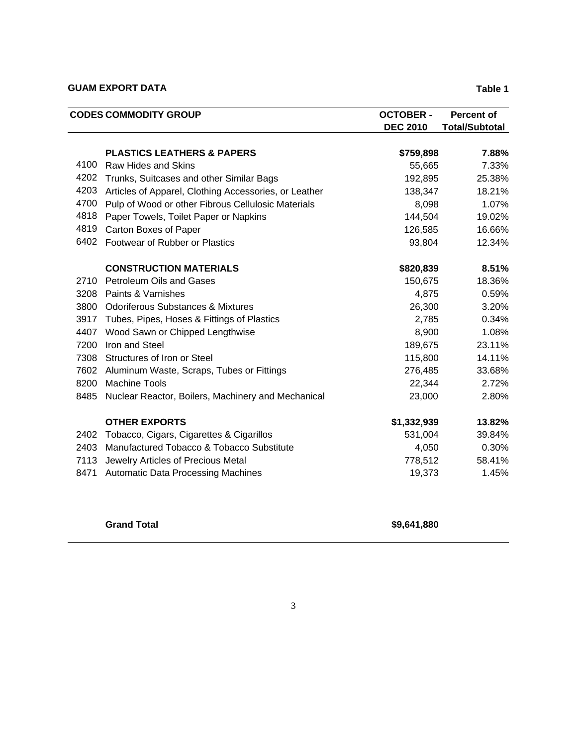#### **GUAM EXPORT DATA** Table 1

| <b>CODES COMMODITY GROUP</b> |                                                       | <b>OCTOBER -</b> | <b>Percent of</b>     |  |
|------------------------------|-------------------------------------------------------|------------------|-----------------------|--|
|                              |                                                       | <b>DEC 2010</b>  | <b>Total/Subtotal</b> |  |
|                              | <b>PLASTICS LEATHERS &amp; PAPERS</b>                 | \$759,898        | 7.88%                 |  |
| 4100                         | <b>Raw Hides and Skins</b>                            | 55,665           | 7.33%                 |  |
| 4202                         | Trunks, Suitcases and other Similar Bags              | 192,895          | 25.38%                |  |
| 4203                         | Articles of Apparel, Clothing Accessories, or Leather | 138,347          | 18.21%                |  |
| 4700                         | Pulp of Wood or other Fibrous Cellulosic Materials    | 8,098            | 1.07%                 |  |
| 4818                         | Paper Towels, Toilet Paper or Napkins                 | 144,504          | 19.02%                |  |
| 4819                         | Carton Boxes of Paper                                 | 126,585          | 16.66%                |  |
| 6402                         | Footwear of Rubber or Plastics                        | 93,804           | 12.34%                |  |
|                              | <b>CONSTRUCTION MATERIALS</b>                         | \$820,839        | 8.51%                 |  |
| 2710                         | <b>Petroleum Oils and Gases</b>                       | 150,675          | 18.36%                |  |
| 3208                         | Paints & Varnishes                                    | 4,875            | 0.59%                 |  |
|                              | 3800 Odoriferous Substances & Mixtures                | 26,300           | 3.20%                 |  |
| 3917                         | Tubes, Pipes, Hoses & Fittings of Plastics            | 2,785            | 0.34%                 |  |
| 4407                         | Wood Sawn or Chipped Lengthwise                       | 8,900            | 1.08%                 |  |
| 7200                         | Iron and Steel                                        | 189,675          | 23.11%                |  |
|                              | 7308 Structures of Iron or Steel                      | 115,800          | 14.11%                |  |
| 7602                         | Aluminum Waste, Scraps, Tubes or Fittings             | 276,485          | 33.68%                |  |
| 8200                         | <b>Machine Tools</b>                                  | 22,344           | 2.72%                 |  |
| 8485                         | Nuclear Reactor, Boilers, Machinery and Mechanical    | 23,000           | 2.80%                 |  |
|                              | <b>OTHER EXPORTS</b>                                  | \$1,332,939      | 13.82%                |  |
| 2402                         | Tobacco, Cigars, Cigarettes & Cigarillos              | 531,004          | 39.84%                |  |
| 2403                         | Manufactured Tobacco & Tobacco Substitute             | 4,050            | 0.30%                 |  |
| 7113                         | Jewelry Articles of Precious Metal                    | 778,512          | 58.41%                |  |
| 8471                         | <b>Automatic Data Processing Machines</b>             | 19,373           | 1.45%                 |  |
|                              |                                                       |                  |                       |  |

**Grand Total \$9,641,880**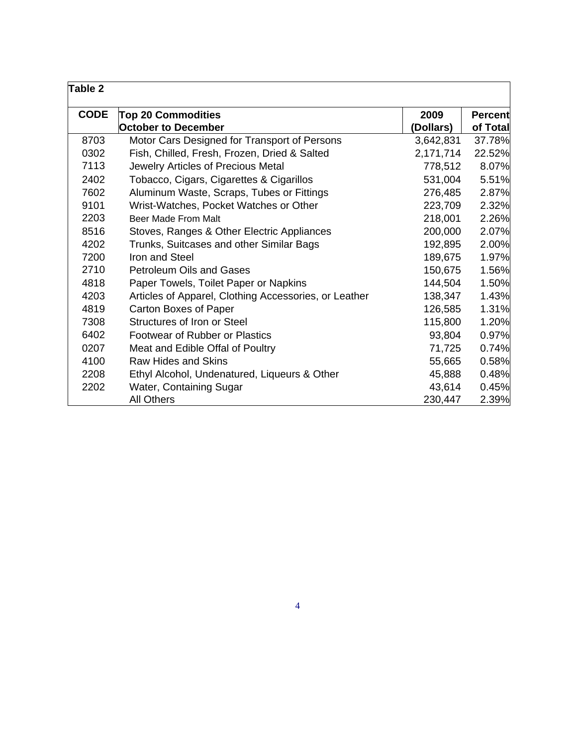| Table 2     |                                                       |           |                |
|-------------|-------------------------------------------------------|-----------|----------------|
| <b>CODE</b> | <b>Top 20 Commodities</b>                             | 2009      | <b>Percent</b> |
|             | <b>October to December</b>                            | (Dollars) | of Total       |
| 8703        | Motor Cars Designed for Transport of Persons          | 3,642,831 | 37.78%         |
| 0302        | Fish, Chilled, Fresh, Frozen, Dried & Salted          | 2,171,714 | 22.52%         |
| 7113        | Jewelry Articles of Precious Metal                    | 778,512   | 8.07%          |
| 2402        | Tobacco, Cigars, Cigarettes & Cigarillos              | 531,004   | 5.51%          |
| 7602        | Aluminum Waste, Scraps, Tubes or Fittings             | 276,485   | 2.87%          |
| 9101        | Wrist-Watches, Pocket Watches or Other                | 223,709   | 2.32%          |
| 2203        | Beer Made From Malt                                   | 218,001   | 2.26%          |
| 8516        | Stoves, Ranges & Other Electric Appliances            | 200,000   | 2.07%          |
| 4202        | Trunks, Suitcases and other Similar Bags              | 192,895   | 2.00%          |
| 7200        | Iron and Steel                                        | 189,675   | 1.97%          |
| 2710        | <b>Petroleum Oils and Gases</b>                       | 150,675   | 1.56%          |
| 4818        | Paper Towels, Toilet Paper or Napkins                 | 144,504   | 1.50%          |
| 4203        | Articles of Apparel, Clothing Accessories, or Leather | 138,347   | 1.43%          |
| 4819        | Carton Boxes of Paper                                 | 126,585   | 1.31%          |
| 7308        | Structures of Iron or Steel                           | 115,800   | 1.20%          |
| 6402        | <b>Footwear of Rubber or Plastics</b>                 | 93,804    | 0.97%          |
| 0207        | Meat and Edible Offal of Poultry                      | 71,725    | 0.74%          |
| 4100        | <b>Raw Hides and Skins</b>                            | 55,665    | 0.58%          |
| 2208        | Ethyl Alcohol, Undenatured, Liqueurs & Other          | 45,888    | 0.48%          |
| 2202        | Water, Containing Sugar                               | 43,614    | 0.45%          |
|             | <b>All Others</b>                                     | 230,447   | 2.39%          |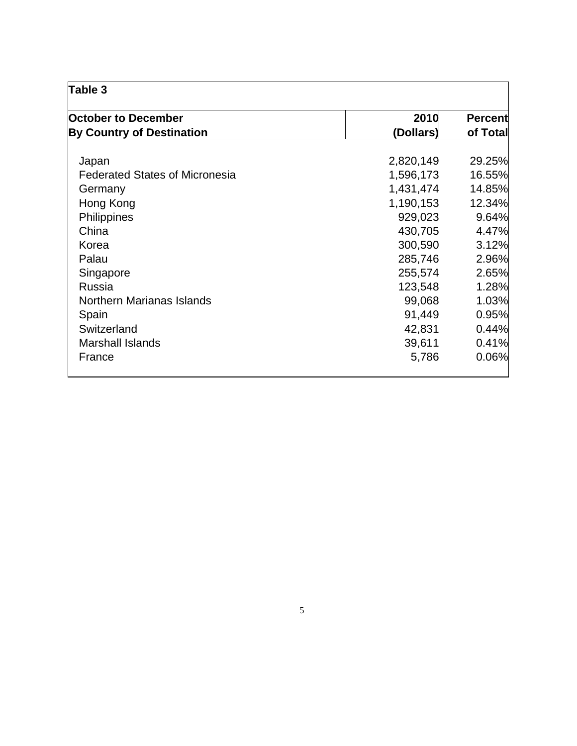| Table 3                               |           |                            |  |  |
|---------------------------------------|-----------|----------------------------|--|--|
| <b>October to December</b>            | 2010      | <b>Percent</b><br>of Total |  |  |
| <b>By Country of Destination</b>      | (Dollars) |                            |  |  |
|                                       |           |                            |  |  |
| Japan                                 | 2,820,149 | 29.25%                     |  |  |
| <b>Federated States of Micronesia</b> | 1,596,173 | 16.55%                     |  |  |
| Germany                               | 1,431,474 | 14.85%                     |  |  |
| Hong Kong                             | 1,190,153 | 12.34%                     |  |  |
| Philippines                           | 929,023   | 9.64%                      |  |  |
| China                                 | 430,705   | 4.47%                      |  |  |
| Korea                                 | 300,590   | 3.12%                      |  |  |
| Palau                                 | 285,746   | 2.96%                      |  |  |
| Singapore                             | 255,574   | 2.65%                      |  |  |
| Russia                                | 123,548   | 1.28%                      |  |  |
| <b>Northern Marianas Islands</b>      | 99,068    | 1.03%                      |  |  |
| Spain                                 | 91,449    | 0.95%                      |  |  |
| Switzerland                           | 42,831    | 0.44%                      |  |  |
| <b>Marshall Islands</b>               | 39,611    | 0.41%                      |  |  |
| France                                | 5,786     | 0.06%                      |  |  |